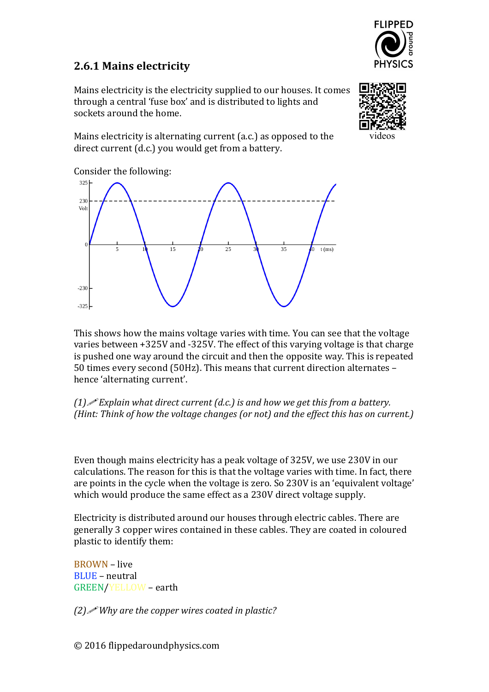

## **2.6.1 Mains electricity**

Mains electricity is the electricity supplied to our houses. It comes through a central 'fuse box' and is distributed to lights and sockets around the home.



Mains electricity is alternating current  $(a.c.)$  as opposed to the direct current (d.c.) you would get from a battery.

Consider the following:



This shows how the mains voltage varies with time. You can see that the voltage varies between +325V and -325V. The effect of this varying voltage is that charge is pushed one way around the circuit and then the opposite way. This is repeated 50 times every second (50Hz). This means that current direction alternates hence 'alternating current'.

*(1) Explain what direct current (d.c.) is and how we get this from a battery. (Hint: Think of how the voltage changes (or not) and the effect this has on current.)* 

Even though mains electricity has a peak voltage of 325V, we use 230V in our calculations. The reason for this is that the voltage varies with time. In fact, there are points in the cycle when the voltage is zero. So 230V is an 'equivalent voltage' which would produce the same effect as a 230V direct voltage supply.

Electricity is distributed around our houses through electric cables. There are generally 3 copper wires contained in these cables. They are coated in coloured plastic to identify them:

BROWN – live BLUE – neutral GREEN/YELLOW – earth

*(2) Nhy* are the copper wires coated in plastic?

© 2016 flippedaroundphysics.com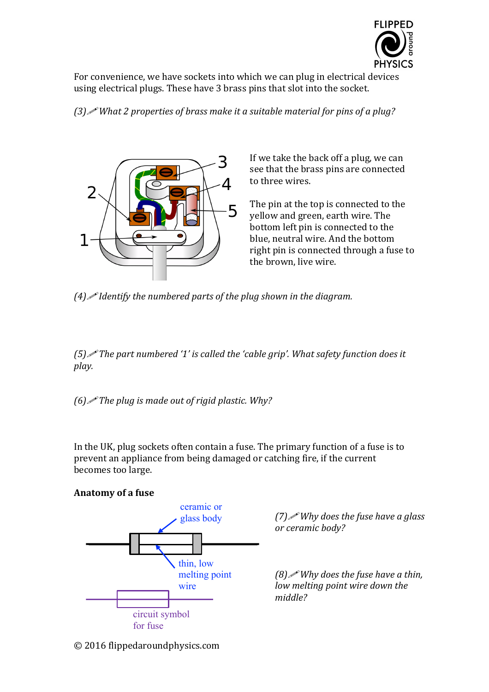

For convenience, we have sockets into which we can plug in electrical devices using electrical plugs. These have 3 brass pins that slot into the socket.

*(3) What* 2 properties of brass make it a suitable material for pins of a plug?



If we take the back off a plug, we can see that the brass pins are connected to three wires.

The pin at the top is connected to the yellow and green, earth wire. The bottom left pin is connected to the blue, neutral wire. And the bottom right pin is connected through a fuse to the brown, live wire.

 $(4)$  *Identify* the numbered parts of the plug shown in the diagram.

*(5)* The part numbered '1' is called the 'cable grip'. What safety function does it *play.*

*(6)* The plug is made out of rigid plastic. Why?

In the UK, plug sockets often contain a fuse. The primary function of a fuse is to prevent an appliance from being damaged or catching fire, if the current becomes too large.

## **Anatomy of a fuse**



*(7) Why does the fuse have a glass or ceramic body?*

*(8) i Why* does the fuse have a thin, *low melting point wire down the middle?*

© 2016 flippedaroundphysics.com